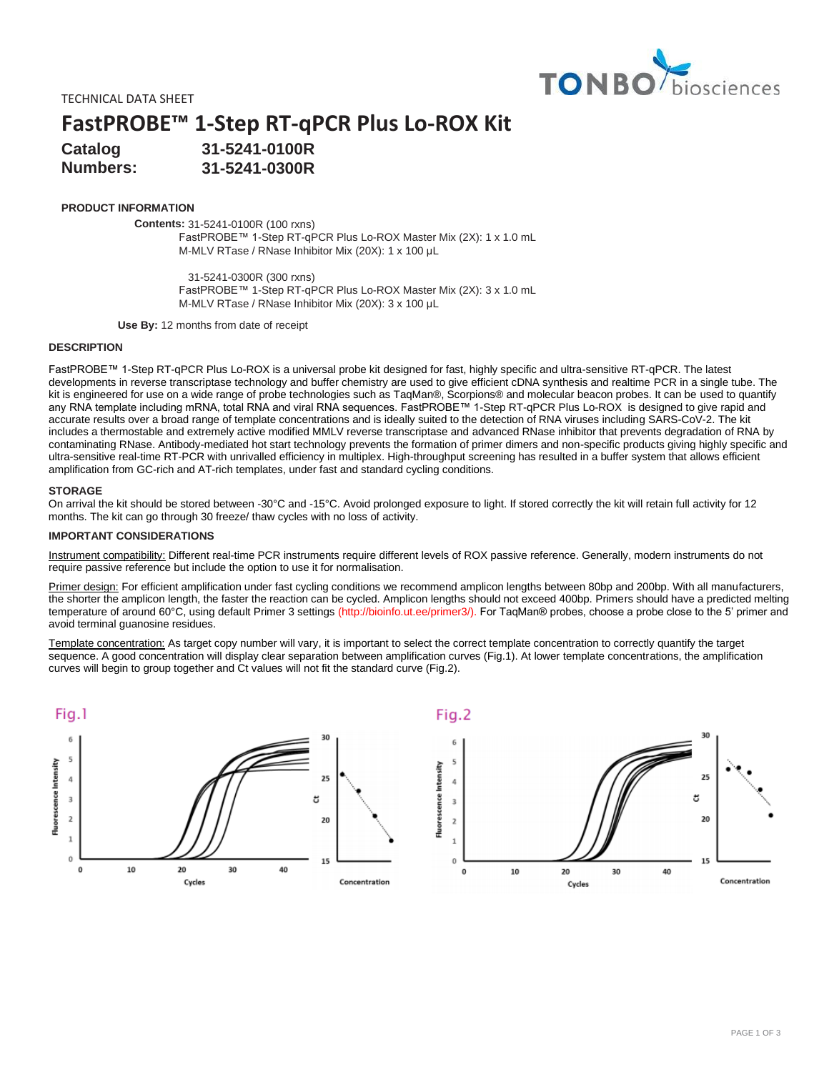

TECHNICAL DATA SHEET

**FastPROBE™ 1-Step RT-qPCR Plus Lo-ROX Kit**

**Catalog Numbers: 31-5241-0100R 31-5241-0300R**

## **PRODUCT INFORMATION**

**Contents:** 31-5241-0100R (100 rxns)

FastPROBE™ 1-Step RT-qPCR Plus Lo-ROX Master Mix (2X): 1 x 1.0 mL M-MLV RTase / RNase Inhibitor Mix (20X): 1 x 100 μL

31-5241-0300R (300 rxns) FastPROBE™ 1-Step RT-qPCR Plus Lo-ROX Master Mix (2X): 3 x 1.0 mL M-MLV RTase / RNase Inhibitor Mix (20X): 3 x 100 μL

**Use By:** 12 months from date of receipt

### **DESCRIPTION**

FastPROBE™ 1-Step RT-qPCR Plus Lo-ROX is a universal probe kit designed for fast, highly specific and ultra-sensitive RT-qPCR. The latest developments in reverse transcriptase technology and buffer chemistry are used to give efficient cDNA synthesis and realtime PCR in a single tube. The kit is engineered for use on a wide range of probe technologies such as TaqMan®, Scorpions® and molecular beacon probes. It can be used to quantify any RNA template including mRNA, total RNA and viral RNA sequences. FastPROBE™ 1-Step RT-qPCR Plus Lo-ROX is designed to give rapid and accurate results over a broad range of template concentrations and is ideally suited to the detection of RNA viruses including SARS-CoV-2. The kit includes a thermostable and extremely active modified MMLV reverse transcriptase and advanced RNase inhibitor that prevents degradation of RNA by contaminating RNase. Antibody-mediated hot start technology prevents the formation of primer dimers and non-specific products giving highly specific and ultra-sensitive real-time RT-PCR with unrivalled efficiency in multiplex. High-throughput screening has resulted in a buffer system that allows efficient amplification from GC-rich and AT-rich templates, under fast and standard cycling conditions.

#### **STORAGE**

On arrival the kit should be stored between -30°C and -15°C. Avoid prolonged exposure to light. If stored correctly the kit will retain full activity for 12 months. The kit can go through 30 freeze/ thaw cycles with no loss of activity.

### **IMPORTANT CONSIDERATIONS**

Instrument compatibility: Different real-time PCR instruments require different levels of ROX passive reference. Generally, modern instruments do not require passive reference but include the option to use it for normalisation.

Primer design: For efficient amplification under fast cycling conditions we recommend amplicon lengths between 80bp and 200bp. With all manufacturers, the shorter the amplicon length, the faster the reaction can be cycled. Amplicon lengths should not exceed 400bp. Primers should have a predicted melting temperature of around 60°C, using default Primer 3 settings (http://bioinfo.ut.ee/primer3/). For TaqMan® probes, choose a probe close to the 5' primer and avoid terminal guanosine residues.

Template concentration: As target copy number will vary, it is important to select the correct template concentration to correctly quantify the target sequence. A good concentration will display clear separation between amplification curves (Fig.1). At lower template concentrations, the amplification curves will begin to group together and Ct values will not fit the standard curve (Fig.2).